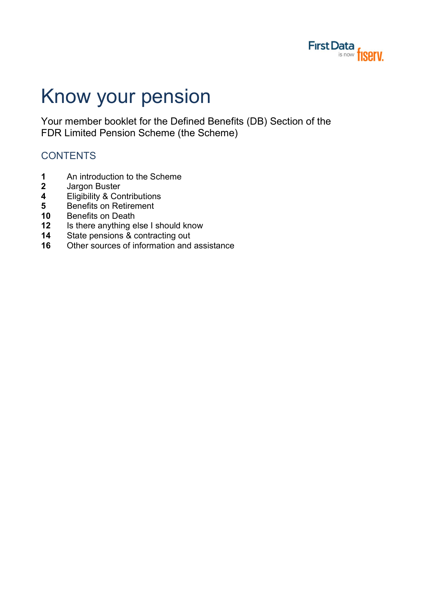

# Know your pension

Your member booklet for the Defined Benefits (DB) Section of the FDR Limited Pension Scheme (the Scheme)

# **CONTENTS**

- 1 An introduction to the Scheme<br>2 Jargon Buster
- Jargon Buster
- 4 Eligibility & Contributions
- **5** Benefits on Retirement
- 10 Benefits on Death
- 12 Is there anything else I should know
- 14 State pensions & contracting out
- 16 Other sources of information and assistance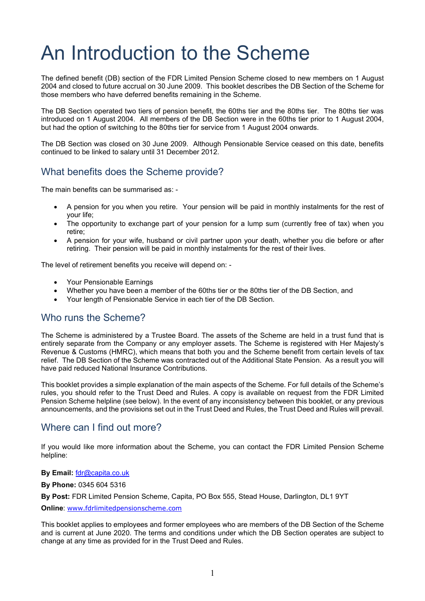# An Introduction to the Scheme

The defined benefit (DB) section of the FDR Limited Pension Scheme closed to new members on 1 August 2004 and closed to future accrual on 30 June 2009. This booklet describes the DB Section of the Scheme for those members who have deferred benefits remaining in the Scheme.

The DB Section operated two tiers of pension benefit, the 60ths tier and the 80ths tier. The 80ths tier was introduced on 1 August 2004. All members of the DB Section were in the 60ths tier prior to 1 August 2004, but had the option of switching to the 80ths tier for service from 1 August 2004 onwards.

The DB Section was closed on 30 June 2009. Although Pensionable Service ceased on this date, benefits continued to be linked to salary until 31 December 2012.

# What benefits does the Scheme provide?

The main benefits can be summarised as: -

- A pension for you when you retire. Your pension will be paid in monthly instalments for the rest of your life;
- The opportunity to exchange part of your pension for a lump sum (currently free of tax) when you retire;
- A pension for your wife, husband or civil partner upon your death, whether you die before or after retiring. Their pension will be paid in monthly instalments for the rest of their lives.

The level of retirement benefits you receive will depend on: -

- Your Pensionable Earnings
- Whether you have been a member of the 60ths tier or the 80ths tier of the DB Section, and
- Your length of Pensionable Service in each tier of the DB Section.

## Who runs the Scheme?

The Scheme is administered by a Trustee Board. The assets of the Scheme are held in a trust fund that is entirely separate from the Company or any employer assets. The Scheme is registered with Her Majesty's Revenue & Customs (HMRC), which means that both you and the Scheme benefit from certain levels of tax relief. The DB Section of the Scheme was contracted out of the Additional State Pension. As a result you will have paid reduced National Insurance Contributions.

This booklet provides a simple explanation of the main aspects of the Scheme. For full details of the Scheme's rules, you should refer to the Trust Deed and Rules. A copy is available on request from the FDR Limited Pension Scheme helpline (see below). In the event of any inconsistency between this booklet, or any previous announcements, and the provisions set out in the Trust Deed and Rules, the Trust Deed and Rules will prevail.

## Where can I find out more?

If you would like more information about the Scheme, you can contact the FDR Limited Pension Scheme helpline:

#### By Email: fdr@capita.co.uk

By Phone: 0345 604 5316

By Post: FDR Limited Pension Scheme, Capita, PO Box 555, Stead House, Darlington, DL1 9YT

Online: www.fdrlimitedpensionscheme.com

This booklet applies to employees and former employees who are members of the DB Section of the Scheme and is current at June 2020. The terms and conditions under which the DB Section operates are subject to change at any time as provided for in the Trust Deed and Rules.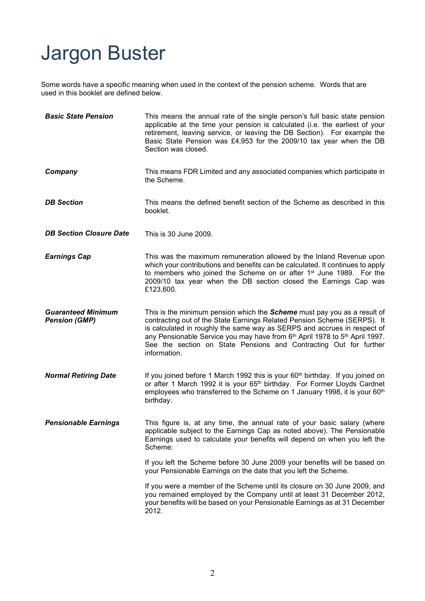# Jargon Buster

Some words have a specific meaning when used in the context of the pension scheme. Words that are used in this booklet are defined below.

| <b>Basic State Pension</b>                        | This means the annual rate of the single person's full basic state pension<br>applicable at the time your pension is calculated (i.e. the earliest of your<br>retirement, leaving service, or leaving the DB Section). For example the<br>Basic State Pension was £4,953 for the 2009/10 tax year when the DB<br>Section was closed.                                                                        |
|---------------------------------------------------|-------------------------------------------------------------------------------------------------------------------------------------------------------------------------------------------------------------------------------------------------------------------------------------------------------------------------------------------------------------------------------------------------------------|
| Company                                           | This means FDR Limited and any associated companies which participate in<br>the Scheme.                                                                                                                                                                                                                                                                                                                     |
| <b>DB</b> Section                                 | This means the defined benefit section of the Scheme as described in this<br>booklet.                                                                                                                                                                                                                                                                                                                       |
| <b>DB Section Closure Date</b>                    | This is 30 June 2009.                                                                                                                                                                                                                                                                                                                                                                                       |
| <b>Earnings Cap</b>                               | This was the maximum remuneration allowed by the Inland Revenue upon<br>which your contributions and benefits can be calculated. It continues to apply<br>to members who joined the Scheme on or after 1 <sup>st</sup> June 1989. For the<br>2009/10 tax year when the DB section closed the Earnings Cap was<br>£123,600.                                                                                  |
| <b>Guaranteed Minimum</b><br><b>Pension (GMP)</b> | This is the minimum pension which the <b>Scheme</b> must pay you as a result of<br>contracting out of the State Earnings Related Pension Scheme (SERPS). It<br>is calculated in roughly the same way as SERPS and accrues in respect of<br>any Pensionable Service you may have from 6th April 1978 to 5th April 1997.<br>See the section on State Pensions and Contracting Out for further<br>information. |
| <b>Normal Retiring Date</b>                       | If you joined before 1 March 1992 this is your 60 <sup>th</sup> birthday. If you joined on<br>or after 1 March 1992 it is your 65 <sup>th</sup> birthday. For Former Lloyds Cardnet<br>employees who transferred to the Scheme on 1 January 1998, it is your 60 <sup>th</sup><br>birthday.                                                                                                                  |
| <b>Pensionable Earnings</b>                       | This figure is, at any time, the annual rate of your basic salary (where<br>applicable subject to the Earnings Cap as noted above). The Pensionable<br>Earnings used to calculate your benefits will depend on when you left the<br>Scheme:                                                                                                                                                                 |
|                                                   | If you left the Scheme before 30 June 2009 your benefits will be based on<br>your Pensionable Earnings on the date that you left the Scheme.                                                                                                                                                                                                                                                                |
|                                                   | If you were a member of the Scheme until its closure on 30 June 2009, and<br>you remained employed by the Company until at least 31 December 2012,<br>your benefits will be based on your Pensionable Earnings as at 31 December<br>2012.                                                                                                                                                                   |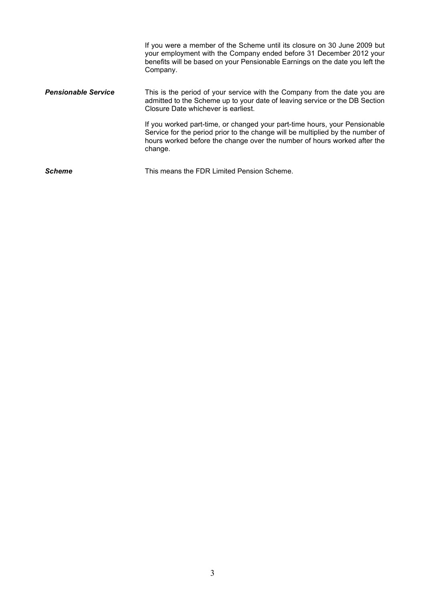|                            | If you were a member of the Scheme until its closure on 30 June 2009 but<br>your employment with the Company ended before 31 December 2012 your<br>benefits will be based on your Pensionable Earnings on the date you left the<br>Company.         |
|----------------------------|-----------------------------------------------------------------------------------------------------------------------------------------------------------------------------------------------------------------------------------------------------|
| <b>Pensionable Service</b> | This is the period of your service with the Company from the date you are<br>admitted to the Scheme up to your date of leaving service or the DB Section<br>Closure Date whichever is earliest.                                                     |
|                            | If you worked part-time, or changed your part-time hours, your Pensionable<br>Service for the period prior to the change will be multiplied by the number of<br>hours worked before the change over the number of hours worked after the<br>change. |
| <b>Scheme</b>              | This means the FDR Limited Pension Scheme.                                                                                                                                                                                                          |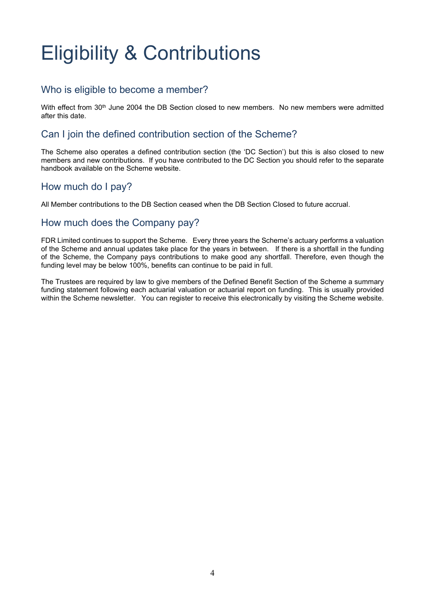# Eligibility & Contributions

# Who is eligible to become a member?

With effect from 30<sup>th</sup> June 2004 the DB Section closed to new members. No new members were admitted after this date.

#### Can I join the defined contribution section of the Scheme?

The Scheme also operates a defined contribution section (the 'DC Section') but this is also closed to new members and new contributions. If you have contributed to the DC Section you should refer to the separate handbook available on the Scheme website.

## How much do I pay?

All Member contributions to the DB Section ceased when the DB Section Closed to future accrual.

#### How much does the Company pay?

FDR Limited continues to support the Scheme. Every three years the Scheme's actuary performs a valuation of the Scheme and annual updates take place for the years in between. If there is a shortfall in the funding of the Scheme, the Company pays contributions to make good any shortfall. Therefore, even though the funding level may be below 100%, benefits can continue to be paid in full.

The Trustees are required by law to give members of the Defined Benefit Section of the Scheme a summary funding statement following each actuarial valuation or actuarial report on funding. This is usually provided within the Scheme newsletter. You can register to receive this electronically by visiting the Scheme website.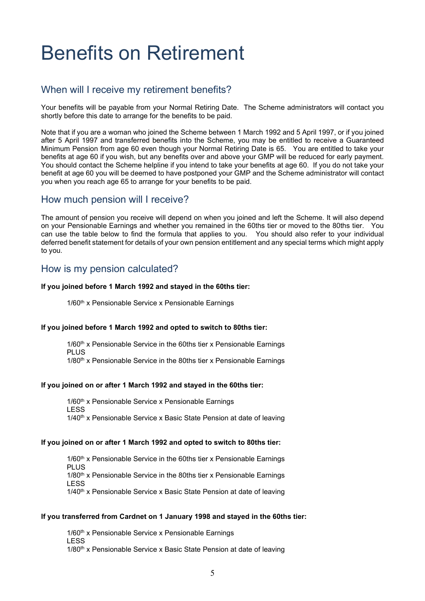# Benefits on Retirement

## When will I receive my retirement benefits?

Your benefits will be payable from your Normal Retiring Date. The Scheme administrators will contact you shortly before this date to arrange for the benefits to be paid.

Note that if you are a woman who joined the Scheme between 1 March 1992 and 5 April 1997, or if you joined after 5 April 1997 and transferred benefits into the Scheme, you may be entitled to receive a Guaranteed Minimum Pension from age 60 even though your Normal Retiring Date is 65. You are entitled to take your benefits at age 60 if you wish, but any benefits over and above your GMP will be reduced for early payment. You should contact the Scheme helpline if you intend to take your benefits at age 60. If you do not take your benefit at age 60 you will be deemed to have postponed your GMP and the Scheme administrator will contact you when you reach age 65 to arrange for your benefits to be paid.

#### How much pension will I receive?

The amount of pension you receive will depend on when you joined and left the Scheme. It will also depend on your Pensionable Earnings and whether you remained in the 60ths tier or moved to the 80ths tier. You can use the table below to find the formula that applies to you. You should also refer to your individual deferred benefit statement for details of your own pension entitlement and any special terms which might apply to you.

#### How is my pension calculated?

#### If you joined before 1 March 1992 and stayed in the 60ths tier:

1/60<sup>th</sup> x Pensionable Service x Pensionable Earnings

#### If you joined before 1 March 1992 and opted to switch to 80ths tier:

 $1/60<sup>th</sup>$  x Pensionable Service in the 60ths tier x Pensionable Earnings PLUS 1/80<sup>th</sup> x Pensionable Service in the 80ths tier x Pensionable Earnings

#### If you joined on or after 1 March 1992 and stayed in the 60ths tier:

1/60<sup>th</sup> x Pensionable Service x Pensionable Earnings LESS  $1/40<sup>th</sup>$  x Pensionable Service x Basic State Pension at date of leaving

#### If you joined on or after 1 March 1992 and opted to switch to 80ths tier:

 $1/60<sup>th</sup>$  x Pensionable Service in the 60ths tier x Pensionable Earnings PLUS 1/80<sup>th</sup> x Pensionable Service in the 80ths tier x Pensionable Earnings LESS 1/40<sup>th</sup> x Pensionable Service x Basic State Pension at date of leaving

#### If you transferred from Cardnet on 1 January 1998 and stayed in the 60ths tier:

1/60<sup>th</sup> x Pensionable Service x Pensionable Earnings LESS 1/80<sup>th</sup> x Pensionable Service x Basic State Pension at date of leaving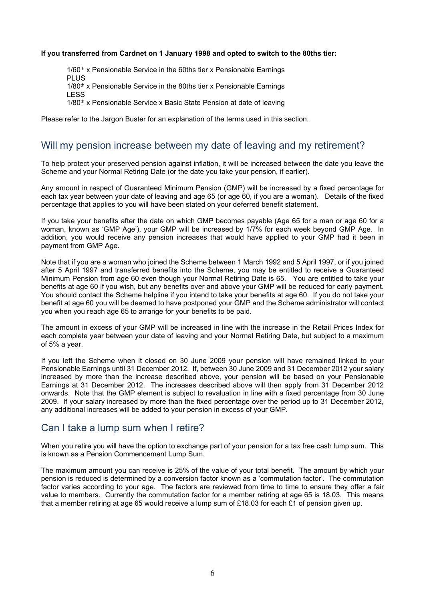#### If you transferred from Cardnet on 1 January 1998 and opted to switch to the 80ths tier:

1/60<sup>th</sup> x Pensionable Service in the 60ths tier x Pensionable Earnings PLUS 1/80<sup>th</sup> x Pensionable Service in the 80ths tier x Pensionable Earnings LESS 1/80<sup>th</sup> x Pensionable Service x Basic State Pension at date of leaving

Please refer to the Jargon Buster for an explanation of the terms used in this section.

#### Will my pension increase between my date of leaving and my retirement?

To help protect your preserved pension against inflation, it will be increased between the date you leave the Scheme and your Normal Retiring Date (or the date you take your pension, if earlier).

Any amount in respect of Guaranteed Minimum Pension (GMP) will be increased by a fixed percentage for each tax year between your date of leaving and age 65 (or age 60, if you are a woman). Details of the fixed percentage that applies to you will have been stated on your deferred benefit statement.

If you take your benefits after the date on which GMP becomes payable (Age 65 for a man or age 60 for a woman, known as 'GMP Age'), your GMP will be increased by 1/7% for each week beyond GMP Age. In addition, you would receive any pension increases that would have applied to your GMP had it been in payment from GMP Age.

Note that if you are a woman who joined the Scheme between 1 March 1992 and 5 April 1997, or if you joined after 5 April 1997 and transferred benefits into the Scheme, you may be entitled to receive a Guaranteed Minimum Pension from age 60 even though your Normal Retiring Date is 65. You are entitled to take your benefits at age 60 if you wish, but any benefits over and above your GMP will be reduced for early payment. You should contact the Scheme helpline if you intend to take your benefits at age 60. If you do not take your benefit at age 60 you will be deemed to have postponed your GMP and the Scheme administrator will contact you when you reach age 65 to arrange for your benefits to be paid.

The amount in excess of your GMP will be increased in line with the increase in the Retail Prices Index for each complete year between your date of leaving and your Normal Retiring Date, but subject to a maximum of 5% a year.

If you left the Scheme when it closed on 30 June 2009 your pension will have remained linked to your Pensionable Earnings until 31 December 2012. If, between 30 June 2009 and 31 December 2012 your salary increased by more than the increase described above, your pension will be based on your Pensionable Earnings at 31 December 2012. The increases described above will then apply from 31 December 2012 onwards. Note that the GMP element is subject to revaluation in line with a fixed percentage from 30 June 2009. If your salary increased by more than the fixed percentage over the period up to 31 December 2012, any additional increases will be added to your pension in excess of your GMP.

#### Can I take a lump sum when I retire?

When you retire you will have the option to exchange part of your pension for a tax free cash lump sum. This is known as a Pension Commencement Lump Sum.

The maximum amount you can receive is 25% of the value of your total benefit. The amount by which your pension is reduced is determined by a conversion factor known as a 'commutation factor'. The commutation factor varies according to your age. The factors are reviewed from time to time to ensure they offer a fair value to members. Currently the commutation factor for a member retiring at age 65 is 18.03. This means that a member retiring at age 65 would receive a lump sum of £18.03 for each £1 of pension given up.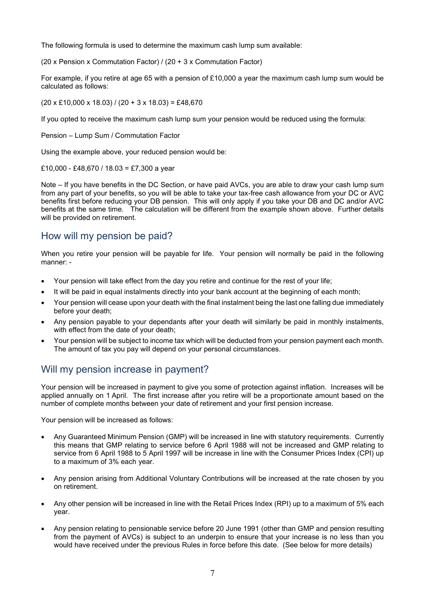The following formula is used to determine the maximum cash lump sum available:

(20 x Pension x Commutation Factor) / (20 + 3 x Commutation Factor)

For example, if you retire at age 65 with a pension of £10,000 a year the maximum cash lump sum would be calculated as follows:

 $(20 \times \text{\pounds}10,000 \times 18.03) / (20 + 3 \times 18.03) = \text{\pounds}48,670$ 

If you opted to receive the maximum cash lump sum your pension would be reduced using the formula:

Pension – Lump Sum / Commutation Factor

Using the example above, your reduced pension would be:

£10,000 - £48,670 / 18.03 = £7,300 a year

Note – If you have benefits in the DC Section, or have paid AVCs, you are able to draw your cash lump sum from any part of your benefits, so you will be able to take your tax-free cash allowance from your DC or AVC benefits first before reducing your DB pension. This will only apply if you take your DB and DC and/or AVC benefits at the same time. The calculation will be different from the example shown above. Further details will be provided on retirement.

#### How will my pension be paid?

When you retire your pension will be payable for life. Your pension will normally be paid in the following manner: -

- Your pension will take effect from the day you retire and continue for the rest of your life;
- It will be paid in equal instalments directly into your bank account at the beginning of each month;
- Your pension will cease upon your death with the final instalment being the last one falling due immediately before your death;
- Any pension payable to your dependants after your death will similarly be paid in monthly instalments, with effect from the date of your death;
- Your pension will be subject to income tax which will be deducted from your pension payment each month. The amount of tax you pay will depend on your personal circumstances.

## Will my pension increase in payment?

Your pension will be increased in payment to give you some of protection against inflation. Increases will be applied annually on 1 April. The first increase after you retire will be a proportionate amount based on the number of complete months between your date of retirement and your first pension increase.

Your pension will be increased as follows:

- Any Guaranteed Minimum Pension (GMP) will be increased in line with statutory requirements. Currently this means that GMP relating to service before 6 April 1988 will not be increased and GMP relating to service from 6 April 1988 to 5 April 1997 will be increase in line with the Consumer Prices Index (CPI) up to a maximum of 3% each year.
- Any pension arising from Additional Voluntary Contributions will be increased at the rate chosen by you on retirement.
- Any other pension will be increased in line with the Retail Prices Index (RPI) up to a maximum of 5% each year.
- Any pension relating to pensionable service before 20 June 1991 (other than GMP and pension resulting from the payment of AVCs) is subject to an underpin to ensure that your increase is no less than you would have received under the previous Rules in force before this date. (See below for more details)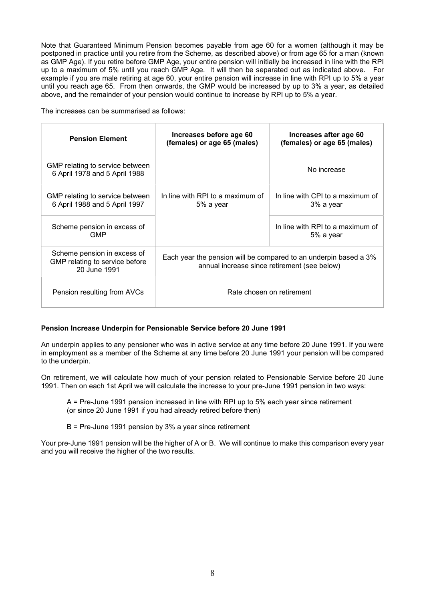Note that Guaranteed Minimum Pension becomes payable from age 60 for a women (although it may be postponed in practice until you retire from the Scheme, as described above) or from age 65 for a man (known as GMP Age). If you retire before GMP Age, your entire pension will initially be increased in line with the RPI up to a maximum of 5% until you reach GMP Age. It will then be separated out as indicated above. For example if you are male retiring at age 60, your entire pension will increase in line with RPI up to 5% a year until you reach age 65. From then onwards, the GMP would be increased by up to 3% a year, as detailed above, and the remainder of your pension would continue to increase by RPI up to 5% a year.

The increases can be summarised as follows:

| <b>Pension Element</b>                                                        | Increases before age 60<br>(females) or age 65 (males)                                                           | Increases after age 60<br>(females) or age 65 (males) |  |
|-------------------------------------------------------------------------------|------------------------------------------------------------------------------------------------------------------|-------------------------------------------------------|--|
| GMP relating to service between<br>6 April 1978 and 5 April 1988              |                                                                                                                  | No increase                                           |  |
| GMP relating to service between<br>6 April 1988 and 5 April 1997              | In line with RPI to a maximum of<br>5% a year                                                                    | In line with CPI to a maximum of<br>3% a year         |  |
| Scheme pension in excess of<br><b>GMP</b>                                     |                                                                                                                  | In line with RPI to a maximum of<br>5% a year         |  |
| Scheme pension in excess of<br>GMP relating to service before<br>20 June 1991 | Each year the pension will be compared to an underpin based a 3%<br>annual increase since retirement (see below) |                                                       |  |
| Pension resulting from AVCs                                                   | Rate chosen on retirement                                                                                        |                                                       |  |

#### Pension Increase Underpin for Pensionable Service before 20 June 1991

An underpin applies to any pensioner who was in active service at any time before 20 June 1991. If you were in employment as a member of the Scheme at any time before 20 June 1991 your pension will be compared to the underpin.

On retirement, we will calculate how much of your pension related to Pensionable Service before 20 June 1991. Then on each 1st April we will calculate the increase to your pre-June 1991 pension in two ways:

A = Pre-June 1991 pension increased in line with RPI up to 5% each year since retirement (or since 20 June 1991 if you had already retired before then)

B = Pre-June 1991 pension by 3% a year since retirement

Your pre-June 1991 pension will be the higher of A or B. We will continue to make this comparison every year and you will receive the higher of the two results.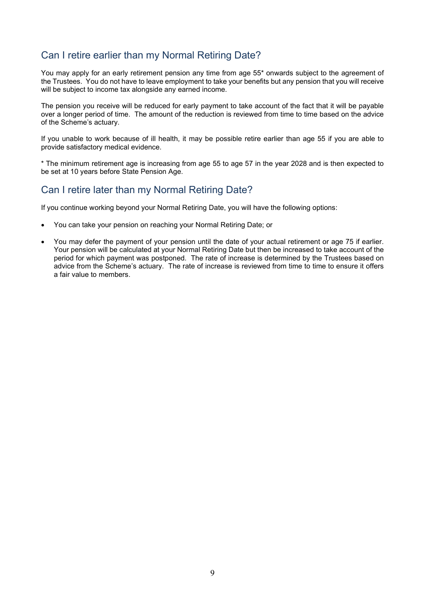# Can I retire earlier than my Normal Retiring Date?

You may apply for an early retirement pension any time from age 55\* onwards subject to the agreement of the Trustees. You do not have to leave employment to take your benefits but any pension that you will receive will be subject to income tax alongside any earned income.

The pension you receive will be reduced for early payment to take account of the fact that it will be payable over a longer period of time. The amount of the reduction is reviewed from time to time based on the advice of the Scheme's actuary.

If you unable to work because of ill health, it may be possible retire earlier than age 55 if you are able to provide satisfactory medical evidence.

\* The minimum retirement age is increasing from age 55 to age 57 in the year 2028 and is then expected to be set at 10 years before State Pension Age.

## Can I retire later than my Normal Retiring Date?

If you continue working beyond your Normal Retiring Date, you will have the following options:

- You can take your pension on reaching your Normal Retiring Date; or
- You may defer the payment of your pension until the date of your actual retirement or age 75 if earlier. Your pension will be calculated at your Normal Retiring Date but then be increased to take account of the period for which payment was postponed. The rate of increase is determined by the Trustees based on advice from the Scheme's actuary. The rate of increase is reviewed from time to time to ensure it offers a fair value to members.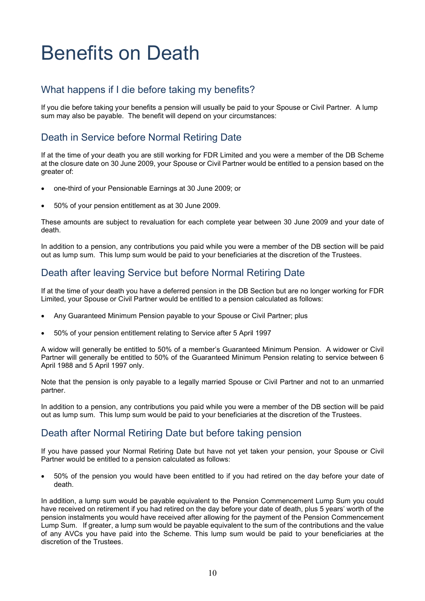# Benefits on Death

# What happens if I die before taking my benefits?

If you die before taking your benefits a pension will usually be paid to your Spouse or Civil Partner. A lump sum may also be payable. The benefit will depend on your circumstances:

# Death in Service before Normal Retiring Date

If at the time of your death you are still working for FDR Limited and you were a member of the DB Scheme at the closure date on 30 June 2009, your Spouse or Civil Partner would be entitled to a pension based on the greater of:

- one-third of your Pensionable Earnings at 30 June 2009; or
- 50% of your pension entitlement as at 30 June 2009.

These amounts are subject to revaluation for each complete year between 30 June 2009 and your date of death.

In addition to a pension, any contributions you paid while you were a member of the DB section will be paid out as lump sum. This lump sum would be paid to your beneficiaries at the discretion of the Trustees.

# Death after leaving Service but before Normal Retiring Date

If at the time of your death you have a deferred pension in the DB Section but are no longer working for FDR Limited, your Spouse or Civil Partner would be entitled to a pension calculated as follows:

- Any Guaranteed Minimum Pension payable to your Spouse or Civil Partner; plus
- 50% of your pension entitlement relating to Service after 5 April 1997

A widow will generally be entitled to 50% of a member's Guaranteed Minimum Pension. A widower or Civil Partner will generally be entitled to 50% of the Guaranteed Minimum Pension relating to service between 6 April 1988 and 5 April 1997 only.

Note that the pension is only payable to a legally married Spouse or Civil Partner and not to an unmarried partner.

In addition to a pension, any contributions you paid while you were a member of the DB section will be paid out as lump sum. This lump sum would be paid to your beneficiaries at the discretion of the Trustees.

## Death after Normal Retiring Date but before taking pension

If you have passed your Normal Retiring Date but have not yet taken your pension, your Spouse or Civil Partner would be entitled to a pension calculated as follows:

 50% of the pension you would have been entitled to if you had retired on the day before your date of death.

In addition, a lump sum would be payable equivalent to the Pension Commencement Lump Sum you could have received on retirement if you had retired on the day before your date of death, plus 5 years' worth of the pension instalments you would have received after allowing for the payment of the Pension Commencement Lump Sum. If greater, a lump sum would be payable equivalent to the sum of the contributions and the value of any AVCs you have paid into the Scheme. This lump sum would be paid to your beneficiaries at the discretion of the Trustees.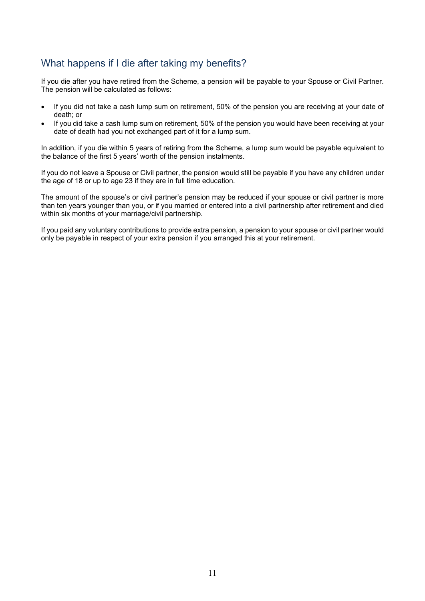# What happens if I die after taking my benefits?

If you die after you have retired from the Scheme, a pension will be payable to your Spouse or Civil Partner. The pension will be calculated as follows:

- If you did not take a cash lump sum on retirement, 50% of the pension you are receiving at your date of death; or
- If you did take a cash lump sum on retirement, 50% of the pension you would have been receiving at your date of death had you not exchanged part of it for a lump sum.

In addition, if you die within 5 years of retiring from the Scheme, a lump sum would be payable equivalent to the balance of the first 5 years' worth of the pension instalments.

If you do not leave a Spouse or Civil partner, the pension would still be payable if you have any children under the age of 18 or up to age 23 if they are in full time education.

The amount of the spouse's or civil partner's pension may be reduced if your spouse or civil partner is more than ten years younger than you, or if you married or entered into a civil partnership after retirement and died within six months of your marriage/civil partnership.

If you paid any voluntary contributions to provide extra pension, a pension to your spouse or civil partner would only be payable in respect of your extra pension if you arranged this at your retirement.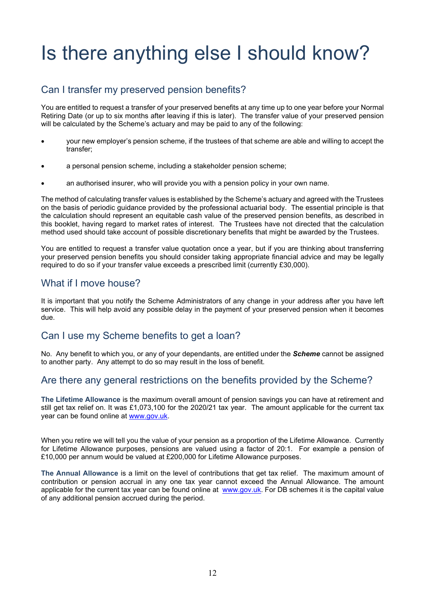# Is there anything else I should know?

# Can I transfer my preserved pension benefits?

You are entitled to request a transfer of your preserved benefits at any time up to one year before your Normal Retiring Date (or up to six months after leaving if this is later). The transfer value of your preserved pension will be calculated by the Scheme's actuary and may be paid to any of the following:

- your new employer's pension scheme, if the trustees of that scheme are able and willing to accept the transfer;
- a personal pension scheme, including a stakeholder pension scheme;
- an authorised insurer, who will provide you with a pension policy in your own name.

 The method of calculating transfer values is established by the Scheme's actuary and agreed with the Trustees on the basis of periodic guidance provided by the professional actuarial body. The essential principle is that the calculation should represent an equitable cash value of the preserved pension benefits, as described in this booklet, having regard to market rates of interest. The Trustees have not directed that the calculation method used should take account of possible discretionary benefits that might be awarded by the Trustees.

You are entitled to request a transfer value quotation once a year, but if you are thinking about transferring your preserved pension benefits you should consider taking appropriate financial advice and may be legally required to do so if your transfer value exceeds a prescribed limit (currently £30,000).

#### What if I move house?

It is important that you notify the Scheme Administrators of any change in your address after you have left service. This will help avoid any possible delay in the payment of your preserved pension when it becomes due.

#### Can I use my Scheme benefits to get a loan?

No. Any benefit to which you, or any of your dependants, are entitled under the **Scheme** cannot be assigned to another party. Any attempt to do so may result in the loss of benefit.

## Are there any general restrictions on the benefits provided by the Scheme?

The Lifetime Allowance is the maximum overall amount of pension savings you can have at retirement and still get tax relief on. It was £1,073,100 for the 2020/21 tax year. The amount applicable for the current tax year can be found online at www.gov.uk.

When you retire we will tell you the value of your pension as a proportion of the Lifetime Allowance. Currently for Lifetime Allowance purposes, pensions are valued using a factor of 20:1. For example a pension of £10,000 per annum would be valued at £200,000 for Lifetime Allowance purposes.

The Annual Allowance is a limit on the level of contributions that get tax relief. The maximum amount of contribution or pension accrual in any one tax year cannot exceed the Annual Allowance. The amount applicable for the current tax year can be found online at www.gov.uk. For DB schemes it is the capital value of any additional pension accrued during the period.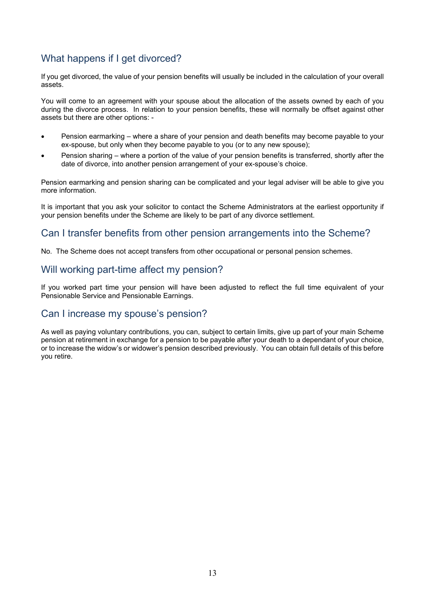# What happens if I get divorced?

If you get divorced, the value of your pension benefits will usually be included in the calculation of your overall assets.

You will come to an agreement with your spouse about the allocation of the assets owned by each of you during the divorce process. In relation to your pension benefits, these will normally be offset against other assets but there are other options: -

- Pension earmarking where a share of your pension and death benefits may become payable to your ex-spouse, but only when they become payable to you (or to any new spouse);
- Pension sharing where a portion of the value of your pension benefits is transferred, shortly after the date of divorce, into another pension arrangement of your ex-spouse's choice.

Pension earmarking and pension sharing can be complicated and your legal adviser will be able to give you more information.

It is important that you ask your solicitor to contact the Scheme Administrators at the earliest opportunity if your pension benefits under the Scheme are likely to be part of any divorce settlement.

## Can I transfer benefits from other pension arrangements into the Scheme?

No. The Scheme does not accept transfers from other occupational or personal pension schemes.

## Will working part-time affect my pension?

If you worked part time your pension will have been adjusted to reflect the full time equivalent of your Pensionable Service and Pensionable Earnings.

#### Can I increase my spouse's pension?

As well as paying voluntary contributions, you can, subject to certain limits, give up part of your main Scheme pension at retirement in exchange for a pension to be payable after your death to a dependant of your choice, or to increase the widow's or widower's pension described previously. You can obtain full details of this before you retire.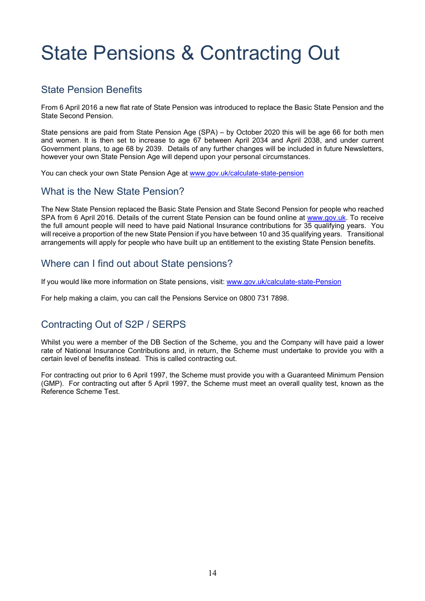# State Pensions & Contracting Out

## State Pension Benefits

From 6 April 2016 a new flat rate of State Pension was introduced to replace the Basic State Pension and the State Second Pension.

State pensions are paid from State Pension Age (SPA) – by October 2020 this will be age 66 for both men and women. It is then set to increase to age 67 between April 2034 and April 2038, and under current Government plans, to age 68 by 2039. Details of any further changes will be included in future Newsletters, however your own State Pension Age will depend upon your personal circumstances.

You can check your own State Pension Age at www.gov.uk/calculate-state-pension

## What is the New State Pension?

The New State Pension replaced the Basic State Pension and State Second Pension for people who reached SPA from 6 April 2016. Details of the current State Pension can be found online at www.gov.uk. To receive the full amount people will need to have paid National Insurance contributions for 35 qualifying years. You will receive a proportion of the new State Pension if you have between 10 and 35 qualifying years. Transitional arrangements will apply for people who have built up an entitlement to the existing State Pension benefits.

## Where can I find out about State pensions?

If you would like more information on State pensions, visit: www.gov.uk/calculate-state-Pension

For help making a claim, you can call the Pensions Service on 0800 731 7898.

# Contracting Out of S2P / SERPS

Whilst you were a member of the DB Section of the Scheme, you and the Company will have paid a lower rate of National Insurance Contributions and, in return, the Scheme must undertake to provide you with a certain level of benefits instead. This is called contracting out.

For contracting out prior to 6 April 1997, the Scheme must provide you with a Guaranteed Minimum Pension (GMP). For contracting out after 5 April 1997, the Scheme must meet an overall quality test, known as the Reference Scheme Test.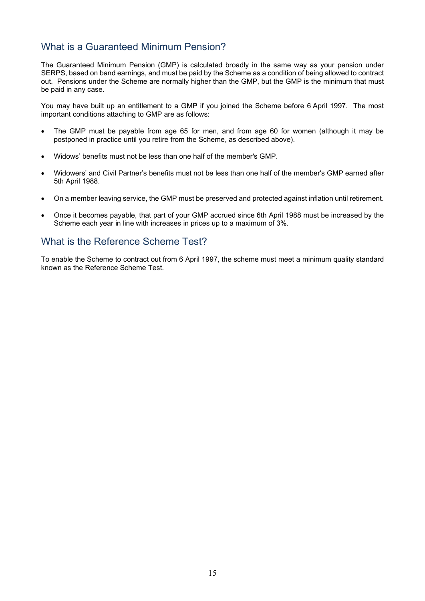# What is a Guaranteed Minimum Pension?

The Guaranteed Minimum Pension (GMP) is calculated broadly in the same way as your pension under SERPS, based on band earnings, and must be paid by the Scheme as a condition of being allowed to contract out. Pensions under the Scheme are normally higher than the GMP, but the GMP is the minimum that must be paid in any case.

You may have built up an entitlement to a GMP if you joined the Scheme before 6 April 1997. The most important conditions attaching to GMP are as follows:

- The GMP must be payable from age 65 for men, and from age 60 for women (although it may be postponed in practice until you retire from the Scheme, as described above).
- Widows' benefits must not be less than one half of the member's GMP.
- Widowers' and Civil Partner's benefits must not be less than one half of the member's GMP earned after 5th April 1988.
- On a member leaving service, the GMP must be preserved and protected against inflation until retirement.
- Once it becomes payable, that part of your GMP accrued since 6th April 1988 must be increased by the Scheme each year in line with increases in prices up to a maximum of 3%.

## What is the Reference Scheme Test?

To enable the Scheme to contract out from 6 April 1997, the scheme must meet a minimum quality standard known as the Reference Scheme Test.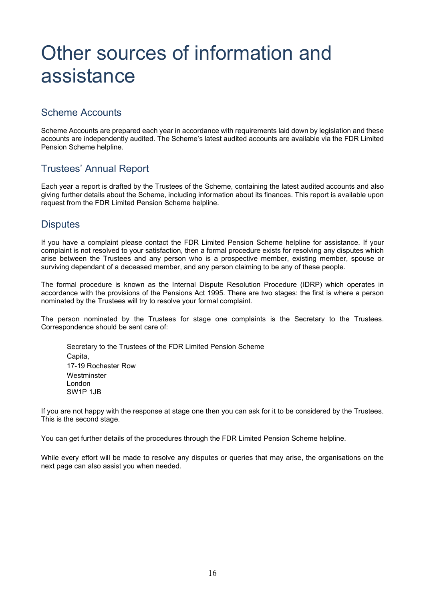# Other sources of information and assistance

# Scheme Accounts

Scheme Accounts are prepared each year in accordance with requirements laid down by legislation and these accounts are independently audited. The Scheme's latest audited accounts are available via the FDR Limited Pension Scheme helpline.

# Trustees' Annual Report

Each year a report is drafted by the Trustees of the Scheme, containing the latest audited accounts and also giving further details about the Scheme, including information about its finances. This report is available upon request from the FDR Limited Pension Scheme helpline.

## **Disputes**

If you have a complaint please contact the FDR Limited Pension Scheme helpline for assistance. If your complaint is not resolved to your satisfaction, then a formal procedure exists for resolving any disputes which arise between the Trustees and any person who is a prospective member, existing member, spouse or surviving dependant of a deceased member, and any person claiming to be any of these people.

The formal procedure is known as the Internal Dispute Resolution Procedure (IDRP) which operates in accordance with the provisions of the Pensions Act 1995. There are two stages: the first is where a person nominated by the Trustees will try to resolve your formal complaint.

The person nominated by the Trustees for stage one complaints is the Secretary to the Trustees. Correspondence should be sent care of:

Secretary to the Trustees of the FDR Limited Pension Scheme Capita, 17-19 Rochester Row **Westminster**  London SW1P 1JB

If you are not happy with the response at stage one then you can ask for it to be considered by the Trustees. This is the second stage.

You can get further details of the procedures through the FDR Limited Pension Scheme helpline.

While every effort will be made to resolve any disputes or queries that may arise, the organisations on the next page can also assist you when needed.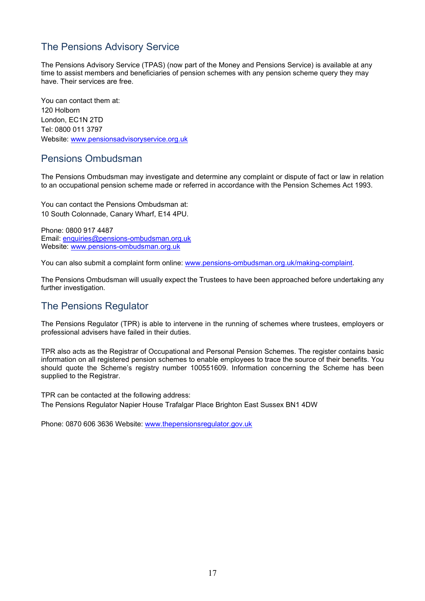# The Pensions Advisory Service

The Pensions Advisory Service (TPAS) (now part of the Money and Pensions Service) is available at any time to assist members and beneficiaries of pension schemes with any pension scheme query they may have. Their services are free.

You can contact them at: 120 Holborn London, EC1N 2TD Tel: 0800 011 3797 Website: www.pensionsadvisoryservice.org.uk

#### Pensions Ombudsman

The Pensions Ombudsman may investigate and determine any complaint or dispute of fact or law in relation to an occupational pension scheme made or referred in accordance with the Pension Schemes Act 1993.

You can contact the Pensions Ombudsman at: 10 South Colonnade, Canary Wharf, E14 4PU.

Phone: 0800 917 4487 Email: enquiries@pensions-ombudsman.org.uk Website: www.pensions-ombudsman.org.uk

You can also submit a complaint form online: www.pensions-ombudsman.org.uk/making-complaint.

The Pensions Ombudsman will usually expect the Trustees to have been approached before undertaking any further investigation.

## The Pensions Regulator

The Pensions Regulator (TPR) is able to intervene in the running of schemes where trustees, employers or professional advisers have failed in their duties.

TPR also acts as the Registrar of Occupational and Personal Pension Schemes. The register contains basic information on all registered pension schemes to enable employees to trace the source of their benefits. You should quote the Scheme's registry number 100551609. Information concerning the Scheme has been supplied to the Registrar.

TPR can be contacted at the following address: The Pensions Regulator Napier House Trafalgar Place Brighton East Sussex BN1 4DW

Phone: 0870 606 3636 Website: www.thepensionsregulator.gov.uk